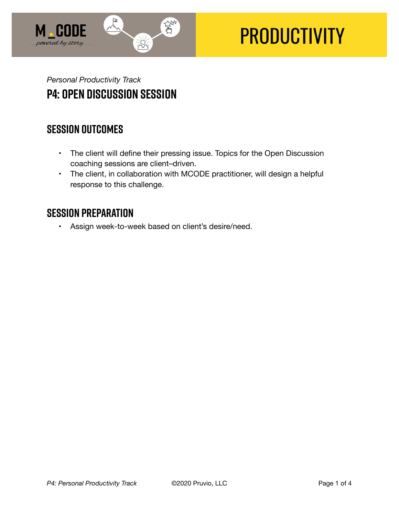

# **PRODUCTIVITY**

## *Personal Productivity Track*  **P4: Open Discussion Session**

### **SESSION OUTCOMES**

- The client will define their pressing issue. Topics for the Open Discussion coaching sessions are client–driven.
- The client, in collaboration with MCODE practitioner, will design a helpful response to this challenge.

### **SESSION PREPARATION**

• Assign week-to-week based on client's desire/need.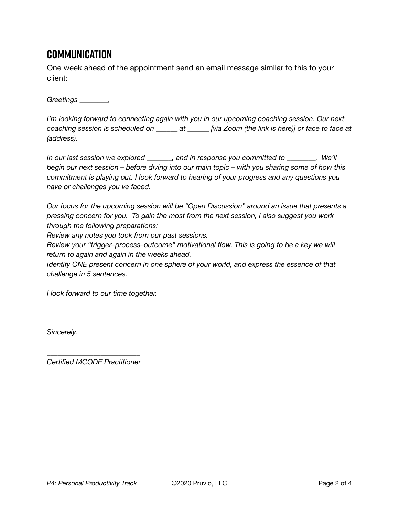## **Communication**

One week ahead of the appointment send an email message similar to this to your client:

*Greetings \_\_\_\_\_\_\_\_,* 

*I'm looking forward to connecting again with you in our upcoming coaching session. Our next coaching session is scheduled on \_\_\_\_\_\_ at \_\_\_\_\_\_ [via Zoom (the link is here)] or face to face at (address).* 

*In our last session we explored \_\_\_\_\_\_\_, and in response you committed to \_\_\_\_\_\_\_\_. We'll begin our next session – before diving into our main topic – with you sharing some of how this commitment is playing out. I look forward to hearing of your progress and any questions you have or challenges you've faced.* 

*Our focus for the upcoming session will be "Open Discussion" around an issue that presents a pressing concern for you. To gain the most from the next session, I also suggest you work through the following preparations:* 

*Review any notes you took from our past sessions.* 

*Review your "trigger–process–outcome" motivational flow. This is going to be a key we will return to again and again in the weeks ahead.* 

*Identify ONE present concern in one sphere of your world, and express the essence of that challenge in 5 sentences.* 

*I look forward to our time together.* 

*Sincerely,* 

*\_\_\_\_\_\_\_\_\_\_\_\_\_\_\_\_\_\_\_\_\_\_\_\_\_\_ Certified MCODE Practitioner*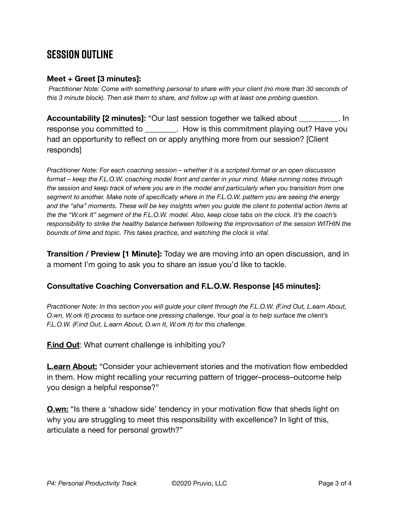## **SESSION OUTLINE**

#### **Meet + Greet [3 minutes]:**

*Practitioner Note: Come with something personal to share with your client (no more than 30 seconds of this 3 minute block). Then ask them to share, and follow up with at least one probing question.* 

**Accountability [2 minutes]:** "Our last session together we talked about \_\_\_\_\_\_\_\_\_\_. In response you committed to **Example 2. How is this commitment playing out? Have you** had an opportunity to reflect on or apply anything more from our session? [Client responds]

*Practitioner Note: For each coaching session – whether it is a scripted format or an open discussion format – keep the F.L.O.W. coaching model front and center in your mind. Make running notes through the session and keep track of where you are in the model and particularly when you transition from one segment to another. Make note of specifically where in the F.L.O.W. pattern you are seeing the energy and the "aha" moments. These will be key insights when you guide the client to potential action items at the the "W.ork It" segment of the F.L.O.W. model. Also, keep close tabs on the clock. It's the coach's responsibility to strike the healthy balance between following the improvisation of the session WITHIN the bounds of time and topic. This takes practice, and watching the clock is vital.*

**Transition / Preview [1 Minute]:** Today we are moving into an open discussion, and in a moment I'm going to ask you to share an issue you'd like to tackle.

#### **Consultative Coaching Conversation and F.L.O.W. Response [45 minutes]:**

*Practitioner Note: In this section you will guide your client through the F.L.O.W. (F.ind Out, L.earn About, O.wn, W.ork It) process to surface one pressing challenge. Your goal is to help surface the client's F.L.O.W. (F.ind Out, L.earn About, O.wn It, W.ork It) for this challenge.*

**Find Out:** What current challenge is inhibiting you?

**L.earn About:** "Consider your achievement stories and the motivation flow embedded in them. How might recalling your recurring pattern of trigger–process–outcome help you design a helpful response?"

**O.wn:** "Is there a 'shadow side' tendency in your motivation flow that sheds light on why you are struggling to meet this responsibility with excellence? In light of this, articulate a need for personal growth?"